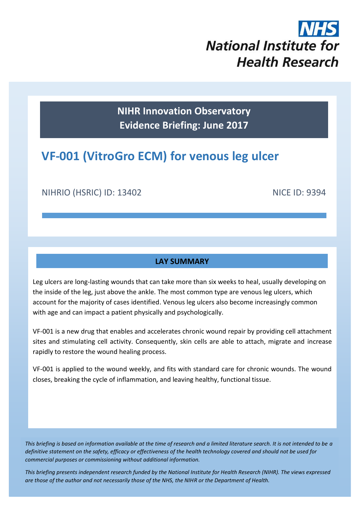# **National Institute for Health Research**

**NIHR Innovation Observatory Evidence Briefing: June 2017**

## **VF-001 (VitroGro ECM) for venous leg ulcer**

NIHRIO (HSRIC) ID: 13402 NICE ID: 9394

#### **LAY SUMMARY**

Leg ulcers are long-lasting wounds that can take more than six weeks to heal, usually developing on the inside of the leg, just above the ankle. The most common type are venous leg ulcers, which account for the majority of cases identified. Venous leg ulcers also become increasingly common with age and can impact a patient physically and psychologically.

VF-001 is a new drug that enables and accelerates chronic wound repair by providing cell attachment sites and stimulating cell activity. Consequently, skin cells are able to attach, migrate and increase rapidly to restore the wound healing process.

VF-001 is applied to the wound weekly, and fits with standard care for chronic wounds. The wound closes, breaking the cycle of inflammation, and leaving healthy, functional tissue.

*This briefing is based on information available at the time of research and a limited literature search. It is not intended to be a definitive statement on the safety, efficacy or effectiveness of the health technology covered and should not be used for commercial purposes or commissioning without additional information.*

1 *This briefing presents independent research funded by the National Institute for Health Research (NIHR). The views expressed are those of the author and not necessarily those of the NHS, the NIHR or the Department of Health.*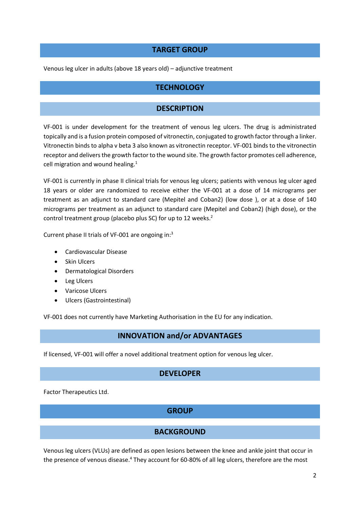#### **TARGET GROUP**

Venous leg ulcer in adults (above 18 years old) – adjunctive treatment

#### **TECHNOLOGY**

#### <span id="page-1-1"></span>**DESCRIPTION**

VF-001 is under development for the treatment of venous leg ulcers. The drug is administrated topically and is a fusion protein composed of vitronectin, conjugated to growth factor through a linker. Vitronectin binds to alpha v beta 3 also known as vitronectin receptor. VF-001 binds to the vitronectin receptor and delivers the growth factor to the wound site. The growth factor promotes cell adherence, cell migration and wound healing. $1$ 

VF-001 is currently in phase II clinical trials for venous leg ulcers; patients with venous leg ulcer aged 18 years or older are randomized to receive either the VF-001 at a dose of 14 micrograms per treatment as an adjunct to standard care (Mepitel and Coban2) (low dose ), or at a dose of 140 micrograms per treatment as an adjunct to standard care (Mepitel and Coban2) (high dose), or the control treatment group (placebo plus SC) for up to 12 weeks. 2

Current phase II trials of VF-001 are ongoing in:<sup>3</sup>

- [Cardiovascular Disease](https://pharma.globaldata.com/DiseaseDetails.aspx?IndicationIDS=1180&IndicationNames=Cardiovascular%20Disease)
- [Skin Ulcers](https://pharma.globaldata.com/DiseaseDetails.aspx?IndicationIDS=19390&IndicationNames=Skin%20Ulcers)
- Dermatological Disorders
- Leg Ulcers
- Varicose Ulcers
- [Ulcers](https://pharma.globaldata.com/DiseaseDetails.aspx?IndicationIDS=4822&IndicationNames=Ulcers) (Gastrointestinal)

VF-001 does not currently have Marketing Authorisation in the EU for any indication.

#### **INNOVATION and/or ADVANTAGES**

If licensed, VF-001 will offer a novel additional treatment option for venous leg ulcer.

#### **DEVELOPER**

Factor Therapeutics Ltd.

#### **GROUP**

#### <span id="page-1-0"></span>**BACKGROUND**

Venous leg ulcers (VLUs) are defined as open lesions between the knee and ankle joint that occur in the presence of venous disease.<sup>4</sup> They account for 60-80% of all leg ulcers, therefore are the most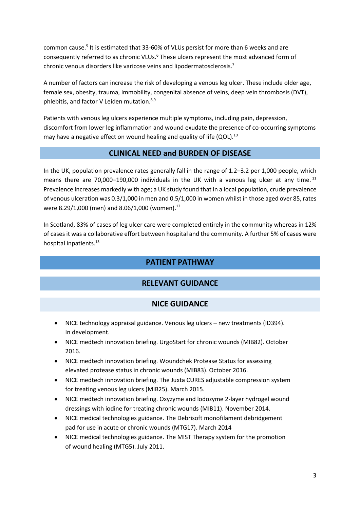common cause. 5 It is estimated that 33-60% of VLUs persist for more than 6 weeks and are consequently referred to as chronic VLUs.<sup>6</sup> These ulcers represent the most advanced form of chronic venous disorders like varicose veins and lipodermatosclerosis.<sup>7</sup>

A number of factors can increase the risk of developing a venous leg ulcer. These include older age, female sex, obesity, trauma, immobility, congenital absence of veins, deep vein thrombosis (DVT), phlebitis, and factor V Leiden mutation.<sup>8,9</sup>

Patients with venous leg ulcers experience multiple symptoms, including pain, depression, discomfort from lower leg inflammation and wound exudate the presence of co-occurring symptoms may have a negative effect on wound healing and quality of life (QOL).<sup>10</sup>

#### **CLINICAL NEED and BURDEN OF DISEASE**

In the UK, population prevalence rates generally fall in the range of 1.2–3.2 per 1,000 people, which means there are 70,000–190,000 individuals in the UK with a venous leg ulcer at any time. <sup>11</sup> Prevalence increases markedly with age; a UK study found that in a local population, crude prevalence of venous ulceration was 0.3/1,000 in men and 0.5/1,000 in women whilst in those aged over 85, rates were 8.29/1,000 (men) and 8.06/1,000 (women). 12

In Scotland, 83% of cases of leg ulcer care were completed entirely in the community whereas in 12% of cases it was a collaborative effort between hospital and the community. A further 5% of cases were hospital inpatients. 13

#### **PATIENT PATHWAY**

#### **RELEVANT GUIDANCE**

#### **NICE GUIDANCE**

- NICE technology appraisal guidance. Venous leg ulcers new treatments (ID394). In development.
- NICE medtech innovation briefing. UrgoStart for chronic wounds (MIB82). October 2016.
- NICE medtech innovation briefing. Woundchek Protease Status for assessing elevated protease status in chronic wounds (MIB83). October 2016.
- NICE medtech innovation briefing. The Juxta CURES adjustable compression system for treating venous leg ulcers (MIB25). March 2015.
- NICE medtech innovation briefing. Oxyzyme and lodozyme 2-layer hydrogel wound dressings with iodine for treating chronic wounds (MIB11). November 2014.
- NICE medical technologies guidance. The Debrisoft monofilament debridgement pad for use in acute or chronic wounds (MTG17). March 2014
- NICE medical technologies guidance. The MIST Therapy system for the promotion of wound healing (MTG5). July 2011.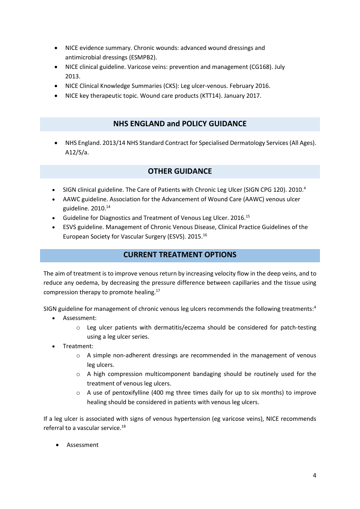- NICE evidence summary. Chronic wounds: advanced wound dressings and antimicrobial dressings (ESMPB2).
- NICE clinical guideline. Varicose veins: prevention and management (CG168). July 2013.
- NICE Clinical Knowledge Summaries (CKS): Leg ulcer-venous. February 2016.
- NICE key therapeutic topic. Wound care products (KTT14). January 2017.

#### **NHS ENGLAND and POLICY GUIDANCE**

 NHS England. 2013/14 NHS Standard Contract for Specialised Dermatology Services (All Ages). A12/S/a.

#### **OTHER GUIDANCE**

- SIGN clinical guideline. The Care of Patients with Chronic Leg Ulcer (SIGN CPG 120). 2010[.](#page-1-0)<sup>4</sup>
- AAWC guideline. Association for the Advancement of Wound Care (AAWC) venous ulcer guideline. 2010.<sup>14</sup>
- Guideline for Diagnostics and Treatment of Venous Leg Ulcer. 2016.<sup>15</sup>
- ESVS guideline. Management of Chronic Venous Disease, Clinical Practice Guidelines of the European Society for Vascular Surgery (ESVS). 2015.<sup>16</sup>

#### **CURRENT TREATMENT OPTIONS**

The aim of treatment is to improve venous return by increasing velocity flow in the deep veins, and to reduce any oedema, by decreasing the pressure difference between capillaries and the tissue using compression therapy to promote healing.<sup>17</sup>

SIGN guideline for management of chronic venous leg ulcers recommends the following treatments:<sup>[4](#page-1-0)</sup>

- Assessment:
	- o Leg ulcer patients with dermatitis/eczema should be considered for patch-testing using a leg ulcer series.
- Treatment:
	- o A simple non-adherent dressings are recommended in the management of venous leg ulcers.
	- o A high compression multicomponent bandaging should be routinely used for the treatment of venous leg ulcers.
	- $\circ$  A use of pentoxifylline (400 mg three times daily for up to six months) to improve healing should be considered in patients with venous leg ulcers.

If a leg ulcer is associated with signs of venous hypertension (eg varicose veins), NICE recommends referral to a vascular service.<sup>18</sup>

Assessment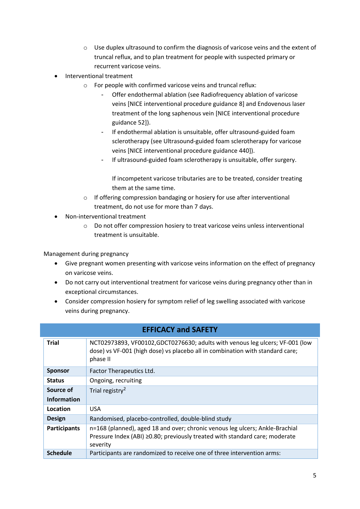- o Use duplex ultrasound to confirm the diagnosis of varicose veins and the extent of truncal reflux, and to plan treatment for people with suspected primary or recurrent varicose veins.
- Interventional treatment
	- o For people with confirmed varicose veins and truncal reflux:
		- Offer endothermal ablation (see Radiofrequency ablation of varicose [veins](http://www.nice.org.uk/guidance/ipg8) [NICE interventional procedure guidance 8] and [Endovenous laser](http://www.nice.org.uk/guidance/ipg52)  [treatment of the long saphenous vein](http://www.nice.org.uk/guidance/ipg52) [NICE interventional procedure guidance 52]).
		- If endothermal ablation is unsuitable, offer ultrasound-guided foam sclerotherapy (see [Ultrasound-guided foam sclerotherapy for varicose](http://www.nice.org.uk/guidance/ipg440)  [veins](http://www.nice.org.uk/guidance/ipg440) [NICE interventional procedure guidance 440]).
		- If ultrasound-guided foam sclerotherapy is unsuitable, offer surgery.

If incompetent varicose tributaries are to be treated, consider treating them at the same time.

- o If offering compression bandaging or hosiery for use after interventional treatment, do not use for more than 7 days.
- Non-interventional treatment
	- o Do not offer compression hosiery to treat varicose veins unless interventional treatment is unsuitable.

Management during pregnancy

- Give pregnant women presenting with varicose veins information on the effect of pregnancy on varicose veins.
- Do not carry out interventional treatment for varicose veins during pregnancy other than in exceptional circumstances.
- Consider compression hosiery for symptom relief of leg swelling associated with varicose veins during pregnancy.

| <b>EFFICACY and SAFETY</b> |                                                                                                                                                                            |  |  |  |
|----------------------------|----------------------------------------------------------------------------------------------------------------------------------------------------------------------------|--|--|--|
| <b>Trial</b>               | NCT02973893, VF00102, GDCT0276630; adults with venous leg ulcers; VF-001 (low<br>dose) vs VF-001 (high dose) vs placebo all in combination with standard care;<br>phase II |  |  |  |
| <b>Sponsor</b>             | Factor Therapeutics Ltd.                                                                                                                                                   |  |  |  |
| <b>Status</b>              | Ongoing, recruiting                                                                                                                                                        |  |  |  |
| Source of                  | Trial registry <sup>2</sup>                                                                                                                                                |  |  |  |
| <b>Information</b>         |                                                                                                                                                                            |  |  |  |
| Location                   | <b>USA</b>                                                                                                                                                                 |  |  |  |
| <b>Design</b>              | Randomised, placebo-controlled, double-blind study                                                                                                                         |  |  |  |
| <b>Participants</b>        | n=168 (planned), aged 18 and over; chronic venous leg ulcers; Ankle-Brachial<br>Pressure Index (ABI) ≥0.80; previously treated with standard care; moderate<br>severity    |  |  |  |
| <b>Schedule</b>            | Participants are randomized to receive one of three intervention arms:                                                                                                     |  |  |  |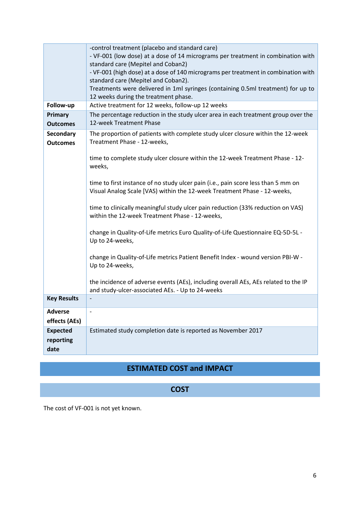|                                      | -control treatment (placebo and standard care)<br>- VF-001 (low dose) at a dose of 14 micrograms per treatment in combination with<br>standard care (Mepitel and Coban2)<br>- VF-001 (high dose) at a dose of 140 micrograms per treatment in combination with<br>standard care (Mepitel and Coban2).<br>Treatments were delivered in 1ml syringes (containing 0.5ml treatment) for up to<br>12 weeks during the treatment phase. |  |  |  |  |
|--------------------------------------|-----------------------------------------------------------------------------------------------------------------------------------------------------------------------------------------------------------------------------------------------------------------------------------------------------------------------------------------------------------------------------------------------------------------------------------|--|--|--|--|
| Follow-up                            | Active treatment for 12 weeks, follow-up 12 weeks                                                                                                                                                                                                                                                                                                                                                                                 |  |  |  |  |
| Primary<br><b>Outcomes</b>           | The percentage reduction in the study ulcer area in each treatment group over the<br>12-week Treatment Phase                                                                                                                                                                                                                                                                                                                      |  |  |  |  |
| <b>Secondary</b><br><b>Outcomes</b>  | The proportion of patients with complete study ulcer closure within the 12-week<br>Treatment Phase - 12-weeks,                                                                                                                                                                                                                                                                                                                    |  |  |  |  |
|                                      | time to complete study ulcer closure within the 12-week Treatment Phase - 12-<br>weeks,                                                                                                                                                                                                                                                                                                                                           |  |  |  |  |
|                                      | time to first instance of no study ulcer pain (i.e., pain score less than 5 mm on<br>Visual Analog Scale [VAS) within the 12-week Treatment Phase - 12-weeks,                                                                                                                                                                                                                                                                     |  |  |  |  |
|                                      | time to clinically meaningful study ulcer pain reduction (33% reduction on VAS)<br>within the 12-week Treatment Phase - 12-weeks,                                                                                                                                                                                                                                                                                                 |  |  |  |  |
|                                      | change in Quality-of-Life metrics Euro Quality-of-Life Questionnaire EQ-5D-5L -<br>Up to 24-weeks,                                                                                                                                                                                                                                                                                                                                |  |  |  |  |
|                                      | change in Quality-of-Life metrics Patient Benefit Index - wound version PBI-W -<br>Up to 24-weeks,                                                                                                                                                                                                                                                                                                                                |  |  |  |  |
|                                      | the incidence of adverse events (AEs), including overall AEs, AEs related to the IP<br>and study-ulcer-associated AEs. - Up to 24-weeks                                                                                                                                                                                                                                                                                           |  |  |  |  |
| <b>Key Results</b>                   |                                                                                                                                                                                                                                                                                                                                                                                                                                   |  |  |  |  |
| <b>Adverse</b><br>effects (AEs)      | $\overline{\phantom{a}}$                                                                                                                                                                                                                                                                                                                                                                                                          |  |  |  |  |
| <b>Expected</b><br>reporting<br>date | Estimated study completion date is reported as November 2017                                                                                                                                                                                                                                                                                                                                                                      |  |  |  |  |

### **ESTIMATED COST and IMPACT**

#### **COST**

The cost of VF-001 is not yet known.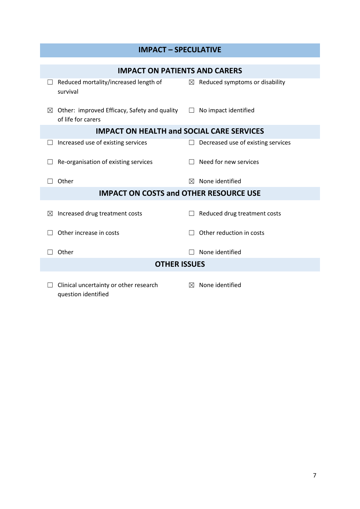| <b>IMPACT - SPECULATIVE</b>                      |                                                                             |         |                                            |  |  |  |
|--------------------------------------------------|-----------------------------------------------------------------------------|---------|--------------------------------------------|--|--|--|
|                                                  |                                                                             |         |                                            |  |  |  |
|                                                  | <b>IMPACT ON PATIENTS AND CARERS</b>                                        |         |                                            |  |  |  |
| survival                                         | Reduced mortality/increased length of                                       |         | $\boxtimes$ Reduced symptoms or disability |  |  |  |
| $\bowtie$<br>of life for carers                  | Other: improved Efficacy, Safety and quality $\square$ No impact identified |         |                                            |  |  |  |
| <b>IMPACT ON HEALTH and SOCIAL CARE SERVICES</b> |                                                                             |         |                                            |  |  |  |
|                                                  | Increased use of existing services                                          | $\perp$ | Decreased use of existing services         |  |  |  |
|                                                  | Re-organisation of existing services                                        |         | Need for new services                      |  |  |  |
| Other                                            |                                                                             | ⊠       | None identified                            |  |  |  |
| <b>IMPACT ON COSTS and OTHER RESOURCE USE</b>    |                                                                             |         |                                            |  |  |  |
| $\boxtimes$                                      | Increased drug treatment costs                                              |         | Reduced drug treatment costs               |  |  |  |
| Other increase in costs                          |                                                                             |         | Other reduction in costs                   |  |  |  |
| Other                                            |                                                                             |         | None identified                            |  |  |  |
| <b>OTHER ISSUES</b>                              |                                                                             |         |                                            |  |  |  |
| question identified                              | Clinical uncertainty or other research                                      |         | $\boxtimes$ None identified                |  |  |  |